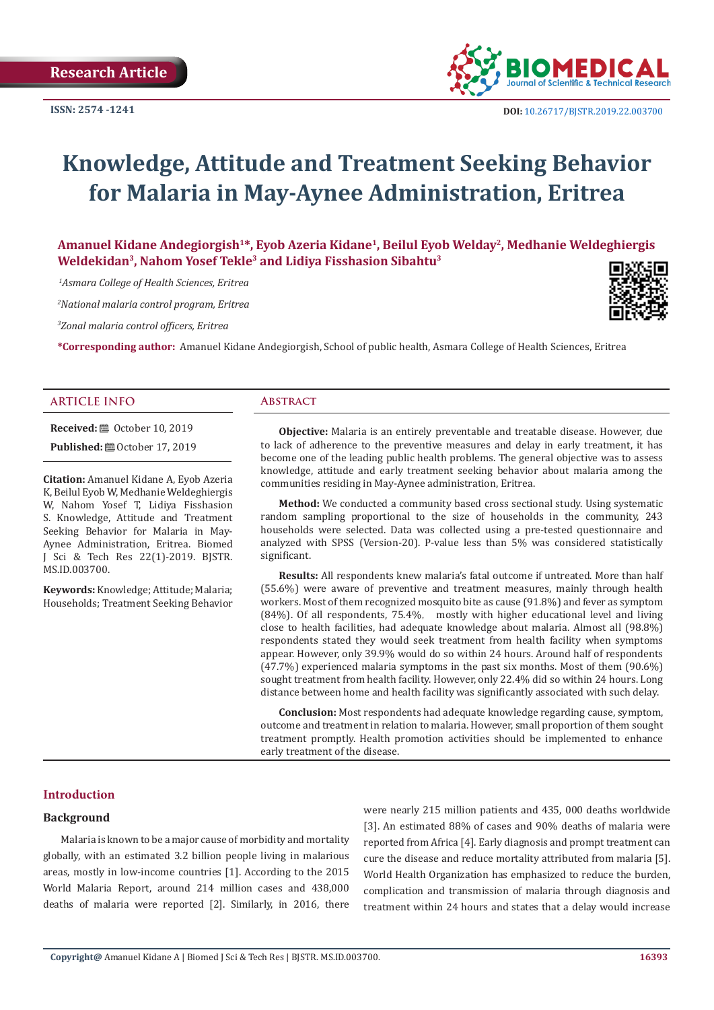

# **Knowledge, Attitude and Treatment Seeking Behavior for Malaria in May-Aynee Administration, Eritrea**

**Amanuel Kidane Andegiorgish1\*, Eyob Azeria Kidane1, Beilul Eyob Welday2, Medhanie Weldeghiergis Weldekidan3, Nahom Yosef Tekle3 and Lidiya Fisshasion Sibahtu3**

 *1Asmara College of Health Sciences, Eritrea*

*2 National malaria control program, Eritrea*

*3 Zonal malaria control officers, Eritrea*

**\*Corresponding author:** Amanuel Kidane Andegiorgish, School of public health, Asmara College of Health Sciences, Eritrea

# **ARTICLE INFO Abstract**

**Received:** ■ October 10, 2019

**Published:**  $\blacksquare$  October 17, 2019

**Citation:** Amanuel Kidane A, Eyob Azeria K, Beilul Eyob W, Medhanie Weldeghiergis W, Nahom Yosef T, Lidiya Fisshasion S. Knowledge, Attitude and Treatment Seeking Behavior for Malaria in May-Aynee Administration, Eritrea. Biomed J Sci & Tech Res 22(1)-2019. BJSTR. MS.ID.003700.

**Keywords:** Knowledge; Attitude; Malaria; Households; Treatment Seeking Behavior

**Objective:** Malaria is an entirely preventable and treatable disease. However, due to lack of adherence to the preventive measures and delay in early treatment, it has become one of the leading public health problems. The general objective was to assess knowledge, attitude and early treatment seeking behavior about malaria among the communities residing in May-Aynee administration, Eritrea.

**Method:** We conducted a community based cross sectional study. Using systematic random sampling proportional to the size of households in the community, 243 households were selected. Data was collected using a pre-tested questionnaire and analyzed with SPSS (Version-20). P-value less than 5% was considered statistically significant.

**Results:** All respondents knew malaria's fatal outcome if untreated. More than half (55.6%) were aware of preventive and treatment measures, mainly through health workers. Most of them recognized mosquito bite as cause (91.8%) and fever as symptom (84%). Of all respondents, 75.4%, mostly with higher educational level and living close to health facilities, had adequate knowledge about malaria. Almost all (98.8%) respondents stated they would seek treatment from health facility when symptoms appear. However, only 39.9% would do so within 24 hours. Around half of respondents (47.7%) experienced malaria symptoms in the past six months. Most of them (90.6%) sought treatment from health facility. However, only 22.4% did so within 24 hours. Long distance between home and health facility was significantly associated with such delay.

**Conclusion:** Most respondents had adequate knowledge regarding cause, symptom, outcome and treatment in relation to malaria. However, small proportion of them sought treatment promptly. Health promotion activities should be implemented to enhance early treatment of the disease.

#### **Introduction**

#### **Background**

Malaria is known to be a major cause of morbidity and mortality globally, with an estimated 3.2 billion people living in malarious areas, mostly in low-income countries [1]. According to the 2015 World Malaria Report, around 214 million cases and 438,000 deaths of malaria were reported [2]. Similarly, in 2016, there were nearly 215 million patients and 435, 000 deaths worldwide [3]. An estimated 88% of cases and 90% deaths of malaria were reported from Africa [4]. Early diagnosis and prompt treatment can cure the disease and reduce mortality attributed from malaria [5]. World Health Organization has emphasized to reduce the burden, complication and transmission of malaria through diagnosis and treatment within 24 hours and states that a delay would increase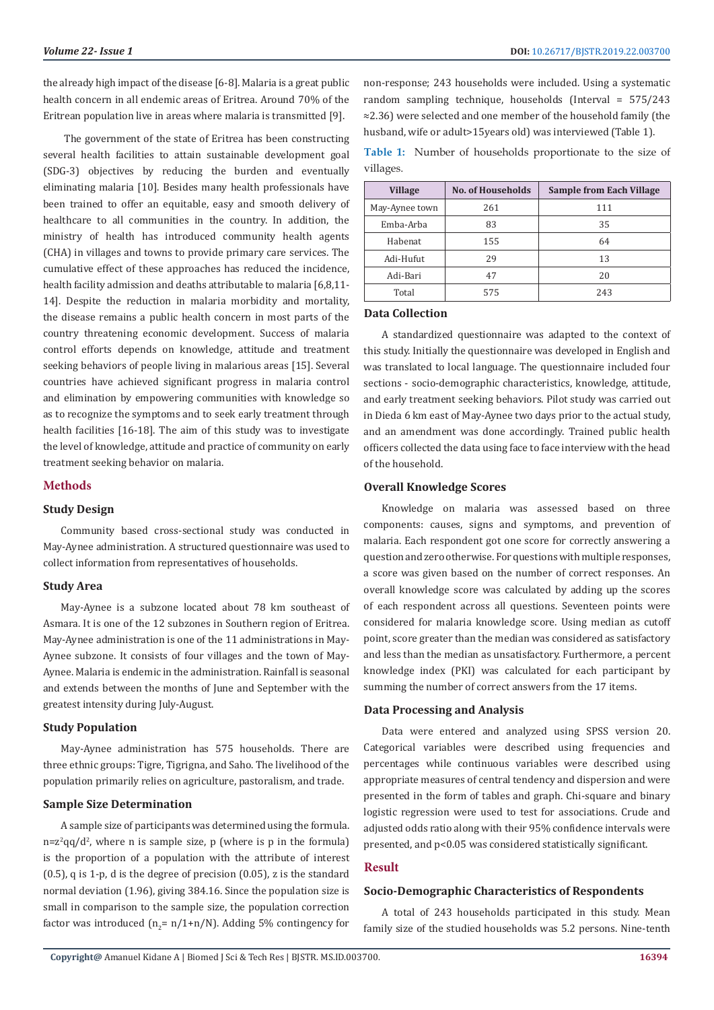the already high impact of the disease [6-8]. Malaria is a great public health concern in all endemic areas of Eritrea. Around 70% of the Eritrean population live in areas where malaria is transmitted [9].

 The government of the state of Eritrea has been constructing several health facilities to attain sustainable development goal (SDG-3) objectives by reducing the burden and eventually eliminating malaria [10]. Besides many health professionals have been trained to offer an equitable, easy and smooth delivery of healthcare to all communities in the country. In addition, the ministry of health has introduced community health agents (CHA) in villages and towns to provide primary care services. The cumulative effect of these approaches has reduced the incidence, health facility admission and deaths attributable to malaria [6,8,11- 14]. Despite the reduction in malaria morbidity and mortality, the disease remains a public health concern in most parts of the country threatening economic development. Success of malaria control efforts depends on knowledge, attitude and treatment seeking behaviors of people living in malarious areas [15]. Several countries have achieved significant progress in malaria control and elimination by empowering communities with knowledge so as to recognize the symptoms and to seek early treatment through health facilities [16-18]. The aim of this study was to investigate the level of knowledge, attitude and practice of community on early treatment seeking behavior on malaria.

# **Methods**

# **Study Design**

Community based cross-sectional study was conducted in May-Aynee administration. A structured questionnaire was used to collect information from representatives of households.

### **Study Area**

May-Aynee is a subzone located about 78 km southeast of Asmara. It is one of the 12 subzones in Southern region of Eritrea. May-Aynee administration is one of the 11 administrations in May-Aynee subzone. It consists of four villages and the town of May-Aynee. Malaria is endemic in the administration. Rainfall is seasonal and extends between the months of June and September with the greatest intensity during July-August.

# **Study Population**

May-Aynee administration has 575 households. There are three ethnic groups: Tigre, Tigrigna, and Saho. The livelihood of the population primarily relies on agriculture, pastoralism, and trade.

#### **Sample Size Determination**

A sample size of participants was determined using the formula.  $n = z<sup>2</sup>$ qq/d<sup>2</sup>, where n is sample size, p (where is p in the formula) is the proportion of a population with the attribute of interest (0.5), q is 1-p, d is the degree of precision (0.05), z is the standard normal deviation (1.96), giving 384.16. Since the population size is small in comparison to the sample size, the population correction factor was introduced  $(n_{2} = n/1+n/N)$ . Adding 5% contingency for non-response; 243 households were included. Using a systematic random sampling technique, households (Interval = 575/243 ≈2.36) were selected and one member of the household family (the husband, wife or adult>15years old) was interviewed (Table 1).

**Table 1:** Number of households proportionate to the size of villages.

| <b>Village</b> | <b>No. of Households</b> | <b>Sample from Each Village</b> |
|----------------|--------------------------|---------------------------------|
| May-Aynee town | 261                      | 111                             |
| Emba-Arba      | 83                       | 35                              |
| Habenat        | 155                      | 64                              |
| Adi-Hufut      | 29                       | 13                              |
| Adi-Bari       | 47                       | 20                              |
| Total          | 575                      | 243                             |

## **Data Collection**

A standardized questionnaire was adapted to the context of this study. Initially the questionnaire was developed in English and was translated to local language. The questionnaire included four sections - socio-demographic characteristics, knowledge, attitude, and early treatment seeking behaviors. Pilot study was carried out in Dieda 6 km east of May-Aynee two days prior to the actual study, and an amendment was done accordingly. Trained public health officers collected the data using face to face interview with the head of the household.

#### **Overall Knowledge Scores**

Knowledge on malaria was assessed based on three components: causes, signs and symptoms, and prevention of malaria. Each respondent got one score for correctly answering a question and zero otherwise. For questions with multiple responses, a score was given based on the number of correct responses. An overall knowledge score was calculated by adding up the scores of each respondent across all questions. Seventeen points were considered for malaria knowledge score. Using median as cutoff point, score greater than the median was considered as satisfactory and less than the median as unsatisfactory. Furthermore, a percent knowledge index (PKI) was calculated for each participant by summing the number of correct answers from the 17 items.

#### **Data Processing and Analysis**

Data were entered and analyzed using SPSS version 20. Categorical variables were described using frequencies and percentages while continuous variables were described using appropriate measures of central tendency and dispersion and were presented in the form of tables and graph. Chi-square and binary logistic regression were used to test for associations. Crude and adjusted odds ratio along with their 95% confidence intervals were presented, and p<0.05 was considered statistically significant.

#### **Result**

#### **Socio-Demographic Characteristics of Respondents**

A total of 243 households participated in this study. Mean family size of the studied households was 5.2 persons. Nine-tenth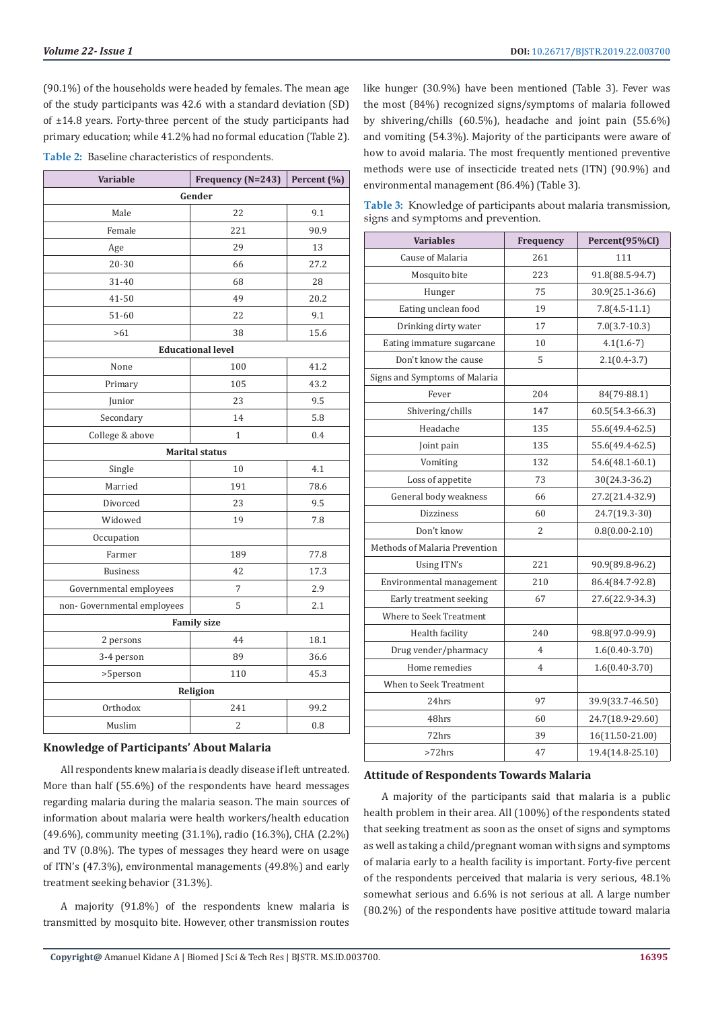(90.1%) of the households were headed by females. The mean age of the study participants was 42.6 with a standard deviation (SD) of ±14.8 years. Forty-three percent of the study participants had primary education; while 41.2% had no formal education (Table 2).

|  |  | Table 2: Baseline characteristics of respondents. |  |  |
|--|--|---------------------------------------------------|--|--|
|--|--|---------------------------------------------------|--|--|

| <b>Variable</b>            | Frequency (N=243)        | Percent (%) |  |  |  |  |
|----------------------------|--------------------------|-------------|--|--|--|--|
| Gender                     |                          |             |  |  |  |  |
| Male                       | 22                       | 9.1         |  |  |  |  |
| Female                     | 221                      | 90.9        |  |  |  |  |
| Age                        | 29                       | 13          |  |  |  |  |
| 20-30                      | 66                       | 27.2        |  |  |  |  |
| 31-40                      | 68                       | 28          |  |  |  |  |
| 41-50                      | 49                       | 20.2        |  |  |  |  |
| 51-60                      | 22                       | 9.1         |  |  |  |  |
| >61                        | 38                       | 15.6        |  |  |  |  |
|                            | <b>Educational level</b> |             |  |  |  |  |
| None                       | 100                      | 41.2        |  |  |  |  |
| Primary                    | 105                      | 43.2        |  |  |  |  |
| Junior                     | 23                       | 9.5         |  |  |  |  |
| Secondary                  | 14                       | 5.8         |  |  |  |  |
| College & above            | $\mathbf{1}$             | 0.4         |  |  |  |  |
| <b>Marital status</b>      |                          |             |  |  |  |  |
| Single                     | 10                       | 4.1         |  |  |  |  |
| Married                    | 191                      | 78.6        |  |  |  |  |
| Divorced                   | 23                       | 9.5         |  |  |  |  |
| Widowed                    | 19                       | 7.8         |  |  |  |  |
| Occupation                 |                          |             |  |  |  |  |
| Farmer                     | 189                      | 77.8        |  |  |  |  |
| <b>Business</b>            | 42                       | 17.3        |  |  |  |  |
| Governmental employees     | 7                        | 2.9         |  |  |  |  |
| non-Governmental employees | 5                        | 2.1         |  |  |  |  |
| <b>Family size</b>         |                          |             |  |  |  |  |
| 2 persons                  | 44                       | 18.1        |  |  |  |  |
| 3-4 person                 | 89                       | 36.6        |  |  |  |  |
| >5person                   | 110                      | 45.3        |  |  |  |  |
|                            | Religion                 |             |  |  |  |  |
| Orthodox                   | 241                      | 99.2        |  |  |  |  |
| Muslim                     | $\overline{c}$           | 0.8         |  |  |  |  |

# **Knowledge of Participants' About Malaria**

All respondents knew malaria is deadly disease if left untreated. More than half (55.6%) of the respondents have heard messages regarding malaria during the malaria season. The main sources of information about malaria were health workers/health education (49.6%), community meeting (31.1%), radio (16.3%), CHA (2.2%) and TV (0.8%). The types of messages they heard were on usage of ITN's (47.3%), environmental managements (49.8%) and early treatment seeking behavior (31.3%).

A majority (91.8%) of the respondents knew malaria is transmitted by mosquito bite. However, other transmission routes like hunger (30.9%) have been mentioned (Table 3). Fever was the most (84%) recognized signs/symptoms of malaria followed by shivering/chills (60.5%), headache and joint pain (55.6%) and vomiting (54.3%). Majority of the participants were aware of how to avoid malaria. The most frequently mentioned preventive methods were use of insecticide treated nets (ITN) (90.9%) and environmental management (86.4%) (Table 3).

**Table 3:** Knowledge of participants about malaria transmission, signs and symptoms and prevention.

| <b>Variables</b>              | Frequency      | Percent(95%CI)     |
|-------------------------------|----------------|--------------------|
| Cause of Malaria              | 261            | 111                |
| Mosquito bite                 | 223            | 91.8(88.5-94.7)    |
| Hunger                        | 75             | 30.9(25.1-36.6)    |
| Eating unclean food           | 19             | $7.8(4.5-11.1)$    |
| Drinking dirty water          | 17             | $7.0(3.7-10.3)$    |
| Eating immature sugarcane     | 10             | $4.1(1.6-7)$       |
| Don't know the cause          | 5              | $2.1(0.4-3.7)$     |
| Signs and Symptoms of Malaria |                |                    |
| Fever                         | 204            | 84(79-88.1)        |
| Shivering/chills              | 147            | 60.5(54.3-66.3)    |
| Headache                      | 135            | 55.6(49.4-62.5)    |
| Joint pain                    | 135            | 55.6(49.4-62.5)    |
| Vomiting                      | 132            | 54.6(48.1-60.1)    |
| Loss of appetite              | 73             | 30(24.3-36.2)      |
| General body weakness         | 66             | 27.2(21.4-32.9)    |
| <b>Dizziness</b>              | 60             | 24.7(19.3-30)      |
| Don't know                    | $\overline{2}$ | $0.8(0.00 - 2.10)$ |
| Methods of Malaria Prevention |                |                    |
| Using ITN's                   | 221            | 90.9(89.8-96.2)    |
| Environmental management      | 210            | 86.4(84.7-92.8)    |
| Early treatment seeking       | 67             | 27.6(22.9-34.3)    |
| Where to Seek Treatment       |                |                    |
| Health facility               | 240            | 98.8(97.0-99.9)    |
| Drug vender/pharmacy          | $\overline{4}$ | $1.6(0.40 - 3.70)$ |
| Home remedies                 | $\overline{4}$ | $1.6(0.40-3.70)$   |
| When to Seek Treatment        |                |                    |
| 24hrs                         | 97             | 39.9(33.7-46.50)   |
| 48hrs                         | 60             | 24.7(18.9-29.60)   |
| 72hrs                         | 39             | 16(11.50-21.00)    |
| >72hrs                        | 47             | 19.4(14.8-25.10)   |

## **Attitude of Respondents Towards Malaria**

A majority of the participants said that malaria is a public health problem in their area. All (100%) of the respondents stated that seeking treatment as soon as the onset of signs and symptoms as well as taking a child/pregnant woman with signs and symptoms of malaria early to a health facility is important. Forty-five percent of the respondents perceived that malaria is very serious, 48.1% somewhat serious and 6.6% is not serious at all. A large number (80.2%) of the respondents have positive attitude toward malaria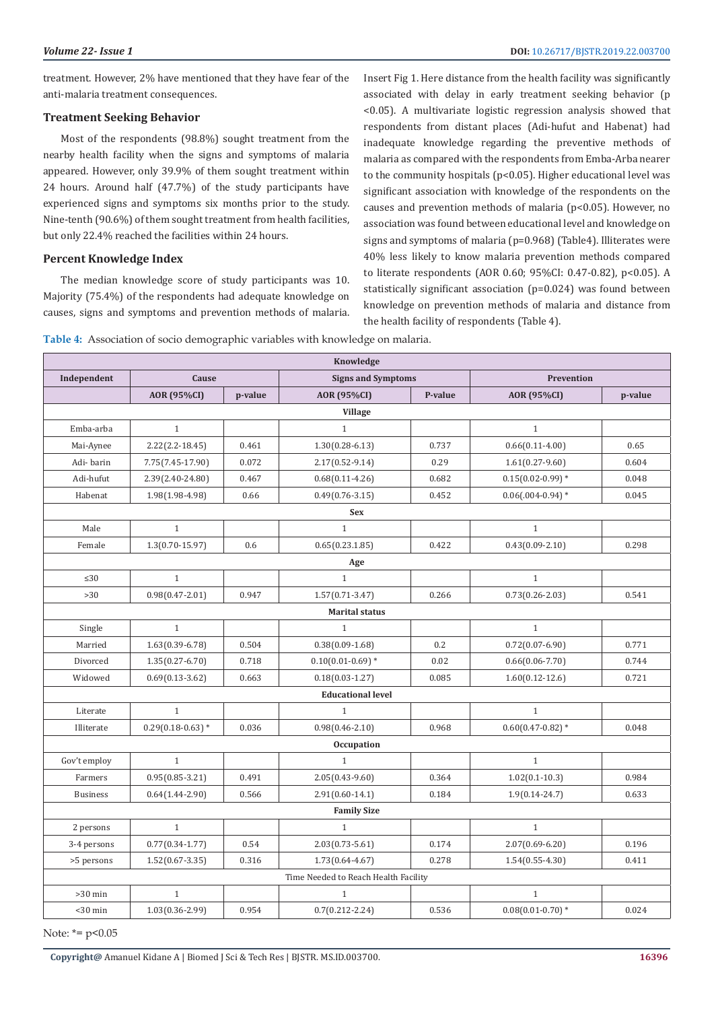treatment. However, 2% have mentioned that they have fear of the anti-malaria treatment consequences.

#### **Treatment Seeking Behavior**

Most of the respondents (98.8%) sought treatment from the nearby health facility when the signs and symptoms of malaria appeared. However, only 39.9% of them sought treatment within 24 hours. Around half (47.7%) of the study participants have experienced signs and symptoms six months prior to the study. Nine-tenth (90.6%) of them sought treatment from health facilities, but only 22.4% reached the facilities within 24 hours.

#### **Percent Knowledge Index**

The median knowledge score of study participants was 10. Majority (75.4%) of the respondents had adequate knowledge on causes, signs and symptoms and prevention methods of malaria. Insert Fig 1. Here distance from the health facility was significantly associated with delay in early treatment seeking behavior (p <0.05). A multivariate logistic regression analysis showed that respondents from distant places (Adi-hufut and Habenat) had inadequate knowledge regarding the preventive methods of malaria as compared with the respondents from Emba-Arba nearer to the community hospitals (p<0.05). Higher educational level was significant association with knowledge of the respondents on the causes and prevention methods of malaria (p<0.05). However, no association was found between educational level and knowledge on signs and symptoms of malaria (p=0.968) (Table4). Illiterates were 40% less likely to know malaria prevention methods compared to literate respondents (AOR 0.60; 95%CI: 0.47-0.82), p<0.05). A statistically significant association (p=0.024) was found between knowledge on prevention methods of malaria and distance from the health facility of respondents (Table 4).

| Table 4: Association of socio demographic variables with knowledge on malaria. |  |  |  |  |  |  |  |
|--------------------------------------------------------------------------------|--|--|--|--|--|--|--|
|--------------------------------------------------------------------------------|--|--|--|--|--|--|--|

| Knowledge                                                              |                     |         |                                      |         |                       |         |  |
|------------------------------------------------------------------------|---------------------|---------|--------------------------------------|---------|-----------------------|---------|--|
| Independent<br>Cause<br><b>Signs and Symptoms</b><br><b>Prevention</b> |                     |         |                                      |         |                       |         |  |
|                                                                        | <b>AOR</b> (95%CI)  | p-value | AOR (95%CI)                          | P-value | <b>AOR (95%CI)</b>    | p-value |  |
|                                                                        |                     |         | <b>Village</b>                       |         |                       |         |  |
| Emba-arba                                                              | $\mathbf{1}$        |         | $\mathbf{1}$                         |         | $\mathbf{1}$          |         |  |
| Mai-Aynee                                                              | $2.22(2.2 - 18.45)$ | 0.461   | $1.30(0.28 - 6.13)$                  | 0.737   | $0.66(0.11-4.00)$     | 0.65    |  |
| Adi-barin                                                              | 7.75(7.45-17.90)    | 0.072   | $2.17(0.52 - 9.14)$                  | 0.29    | $1.61(0.27-9.60)$     | 0.604   |  |
| Adi-hufut                                                              | 2.39(2.40-24.80)    | 0.467   | $0.68(0.11 - 4.26)$                  | 0.682   | $0.15(0.02 - 0.99)$ * | 0.048   |  |
| Habenat                                                                | $1.98(1.98-4.98)$   | 0.66    | $0.49(0.76 - 3.15)$                  | 0.452   | $0.06(.004-0.94)*$    | 0.045   |  |
|                                                                        |                     |         | <b>Sex</b>                           |         |                       |         |  |
| Male                                                                   | $\mathbf{1}$        |         | $\mathbf{1}$                         |         | $\mathbf{1}$          |         |  |
| Female                                                                 | $1.3(0.70 - 15.97)$ | 0.6     | 0.65(0.23.1.85)                      | 0.422   | $0.43(0.09 - 2.10)$   | 0.298   |  |
|                                                                        |                     |         | Age                                  |         |                       |         |  |
| $\leq 30$                                                              | $\mathbf{1}$        |         | $\mathbf{1}$                         |         | $\mathbf{1}$          |         |  |
| $>30$                                                                  | $0.98(0.47 - 2.01)$ | 0.947   | $1.57(0.71 - 3.47)$                  | 0.266   | $0.73(0.26 - 2.03)$   | 0.541   |  |
|                                                                        |                     |         | <b>Marital status</b>                |         |                       |         |  |
| Single                                                                 | $\mathbf{1}$        |         | $\mathbf{1}$                         |         | $\mathbf{1}$          |         |  |
| Married                                                                | $1.63(0.39 - 6.78)$ | 0.504   | $0.38(0.09-1.68)$                    | 0.2     | $0.72(0.07 - 6.90)$   | 0.771   |  |
| Divorced                                                               | $1.35(0.27 - 6.70)$ | 0.718   | $0.10(0.01 - 0.69)$ *                | 0.02    | $0.66(0.06 - 7.70)$   | 0.744   |  |
| Widowed                                                                | $0.69(0.13-3.62)$   | 0.663   | $0.18(0.03 - 1.27)$                  | 0.085   | $1.60(0.12 - 12.6)$   | 0.721   |  |
|                                                                        |                     |         | <b>Educational level</b>             |         |                       |         |  |
| Literate                                                               | $\mathbf{1}$        |         | $\mathbf{1}$                         |         | $\mathbf{1}$          |         |  |
| Illiterate                                                             | $0.29(0.18-0.63)*$  | 0.036   | $0.98(0.46 - 2.10)$                  | 0.968   | $0.60(0.47 - 0.82)$ * | 0.048   |  |
| <b>Occupation</b>                                                      |                     |         |                                      |         |                       |         |  |
| Gov't employ                                                           | $\mathbf{1}$        |         | $\mathbf{1}$                         |         | $\mathbf{1}$          |         |  |
| Farmers                                                                | $0.95(0.85 - 3.21)$ | 0.491   | $2.05(0.43-9.60)$                    | 0.364   | $1.02(0.1-10.3)$      | 0.984   |  |
| <b>Business</b>                                                        | $0.64(1.44 - 2.90)$ | 0.566   | $2.91(0.60-14.1)$                    | 0.184   | $1.9(0.14 - 24.7)$    | 0.633   |  |
| <b>Family Size</b>                                                     |                     |         |                                      |         |                       |         |  |
| 2 persons                                                              | $\mathbf{1}$        |         | $\,1\,$                              |         | $\mathbf{1}$          |         |  |
| 3-4 persons                                                            | $0.77(0.34-1.77)$   | 0.54    | $2.03(0.73 - 5.61)$                  | 0.174   | $2.07(0.69 - 6.20)$   | 0.196   |  |
| >5 persons                                                             | $1.52(0.67 - 3.35)$ | 0.316   | $1.73(0.64 - 4.67)$                  | 0.278   | $1.54(0.55 - 4.30)$   | 0.411   |  |
|                                                                        |                     |         | Time Needed to Reach Health Facility |         |                       |         |  |
| $>30$ min                                                              | $\mathbf{1}$        |         | $\mathbf{1}$                         |         | $\mathbf{1}$          |         |  |
| $<$ 30 min                                                             | $1.03(0.36 - 2.99)$ | 0.954   | $0.7(0.212 - 2.24)$                  | 0.536   | $0.08(0.01 - 0.70)*$  | 0.024   |  |

Note:  $* = p < 0.05$ 

**Copyright@** Amanuel Kidane A | Biomed J Sci & Tech Res | BJSTR. MS.ID.003700.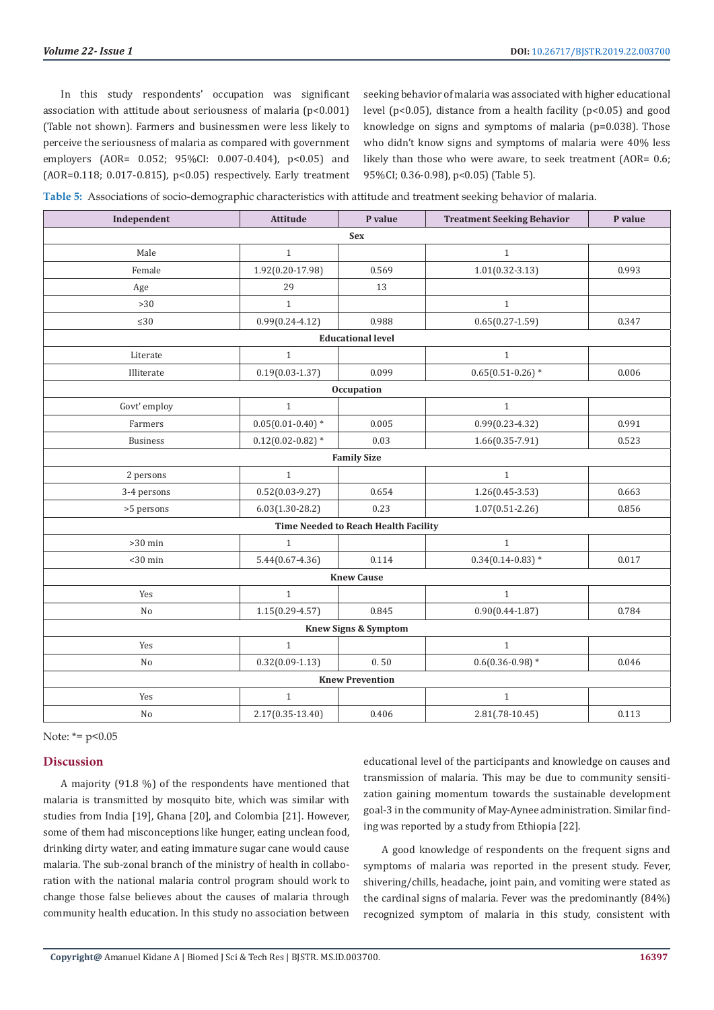In this study respondents' occupation was significant association with attitude about seriousness of malaria (p<0.001) (Table not shown). Farmers and businessmen were less likely to perceive the seriousness of malaria as compared with government employers (AOR= 0.052; 95%CI: 0.007-0.404), p<0.05) and (AOR=0.118; 0.017-0.815), p<0.05) respectively. Early treatment seeking behavior of malaria was associated with higher educational level (p<0.05), distance from a health facility (p<0.05) and good knowledge on signs and symptoms of malaria (p=0.038). Those who didn't know signs and symptoms of malaria were 40% less likely than those who were aware, to seek treatment (AOR= 0.6; 95%CI; 0.36-0.98), p<0.05) (Table 5).

|  |  |  |  | Table 5: Associations of socio-demographic characteristics with attitude and treatment seeking behavior of malaria. |  |
|--|--|--|--|---------------------------------------------------------------------------------------------------------------------|--|
|  |  |  |  |                                                                                                                     |  |

| Independent                     | <b>Attitude</b>                      | P value                  | <b>Treatment Seeking Behavior</b> | P value |  |  |  |  |  |
|---------------------------------|--------------------------------------|--------------------------|-----------------------------------|---------|--|--|--|--|--|
| <b>Sex</b>                      |                                      |                          |                                   |         |  |  |  |  |  |
| Male                            | $\mathbf{1}$                         |                          | $\mathbf{1}$                      |         |  |  |  |  |  |
| Female                          | 1.92(0.20-17.98)                     | 0.569                    | $1.01(0.32 - 3.13)$               | 0.993   |  |  |  |  |  |
| Age                             | 29                                   | 13                       |                                   |         |  |  |  |  |  |
| $>30$                           | $\mathbf{1}$                         |                          | $\mathbf{1}$                      |         |  |  |  |  |  |
| $\leq 30$                       | $0.99(0.24 - 4.12)$                  | 0.988                    | $0.65(0.27-1.59)$                 | 0.347   |  |  |  |  |  |
|                                 |                                      | <b>Educational level</b> |                                   |         |  |  |  |  |  |
| Literate                        | $\mathbf{1}$                         |                          | $\mathbf{1}$                      |         |  |  |  |  |  |
| Illiterate                      | $0.19(0.03 - 1.37)$                  | 0.099                    | $0.65(0.51-0.26)$ *               | 0.006   |  |  |  |  |  |
|                                 |                                      | Occupation               |                                   |         |  |  |  |  |  |
| Govt' employ                    | $\mathbf{1}$                         |                          | $\mathbf{1}$                      |         |  |  |  |  |  |
| Farmers                         | $0.05(0.01 - 0.40)*$                 | 0.005                    | $0.99(0.23 - 4.32)$               | 0.991   |  |  |  |  |  |
| <b>Business</b>                 | $0.12(0.02 - 0.82)$ *                | 0.03                     | $1.66(0.35 - 7.91)$               | 0.523   |  |  |  |  |  |
| <b>Family Size</b>              |                                      |                          |                                   |         |  |  |  |  |  |
| 2 persons                       | $\mathbf{1}$                         |                          | $\mathbf{1}$                      |         |  |  |  |  |  |
| 3-4 persons                     | $0.52(0.03-9.27)$                    | 0.654                    | $1.26(0.45-3.53)$                 | 0.663   |  |  |  |  |  |
| >5 persons                      | $6.03(1.30-28.2)$                    | 0.23                     | $1.07(0.51 - 2.26)$               | 0.856   |  |  |  |  |  |
|                                 | Time Needed to Reach Health Facility |                          |                                   |         |  |  |  |  |  |
| $>30$ min                       | $\mathbf{1}$                         |                          | $\mathbf{1}$                      |         |  |  |  |  |  |
| $<$ 30 min                      | $5.44(0.67 - 4.36)$                  | 0.114                    | $0.34(0.14-0.83)*$                | 0.017   |  |  |  |  |  |
| <b>Knew Cause</b>               |                                      |                          |                                   |         |  |  |  |  |  |
| Yes                             | $\mathbf{1}$                         |                          | $\mathbf{1}$                      |         |  |  |  |  |  |
| N <sub>o</sub>                  | $1.15(0.29 - 4.57)$                  | 0.845                    | $0.90(0.44 - 1.87)$               | 0.784   |  |  |  |  |  |
| <b>Knew Signs &amp; Symptom</b> |                                      |                          |                                   |         |  |  |  |  |  |
| Yes                             | $\mathbf{1}$                         |                          | $\mathbf{1}$                      |         |  |  |  |  |  |
| N <sub>o</sub>                  | $0.32(0.09-1.13)$                    | 0.50                     | $0.6(0.36 - 0.98)$ *              | 0.046   |  |  |  |  |  |
|                                 | <b>Knew Prevention</b>               |                          |                                   |         |  |  |  |  |  |
| Yes                             | $\mathbf{1}$                         |                          | $\mathbf{1}$                      |         |  |  |  |  |  |
| No                              | $2.17(0.35 - 13.40)$                 | 0.406                    | $2.81(.78-10.45)$                 | 0.113   |  |  |  |  |  |

Note:  $* = p < 0.05$ 

# **Discussion**

A majority (91.8 %) of the respondents have mentioned that malaria is transmitted by mosquito bite, which was similar with studies from India [19], Ghana [20], and Colombia [21]. However, some of them had misconceptions like hunger, eating unclean food, drinking dirty water, and eating immature sugar cane would cause malaria. The sub-zonal branch of the ministry of health in collaboration with the national malaria control program should work to change those false believes about the causes of malaria through community health education. In this study no association between

educational level of the participants and knowledge on causes and transmission of malaria. This may be due to community sensitization gaining momentum towards the sustainable development goal-3 in the community of May-Aynee administration. Similar finding was reported by a study from Ethiopia [22].

A good knowledge of respondents on the frequent signs and symptoms of malaria was reported in the present study. Fever, shivering/chills, headache, joint pain, and vomiting were stated as the cardinal signs of malaria. Fever was the predominantly (84%) recognized symptom of malaria in this study, consistent with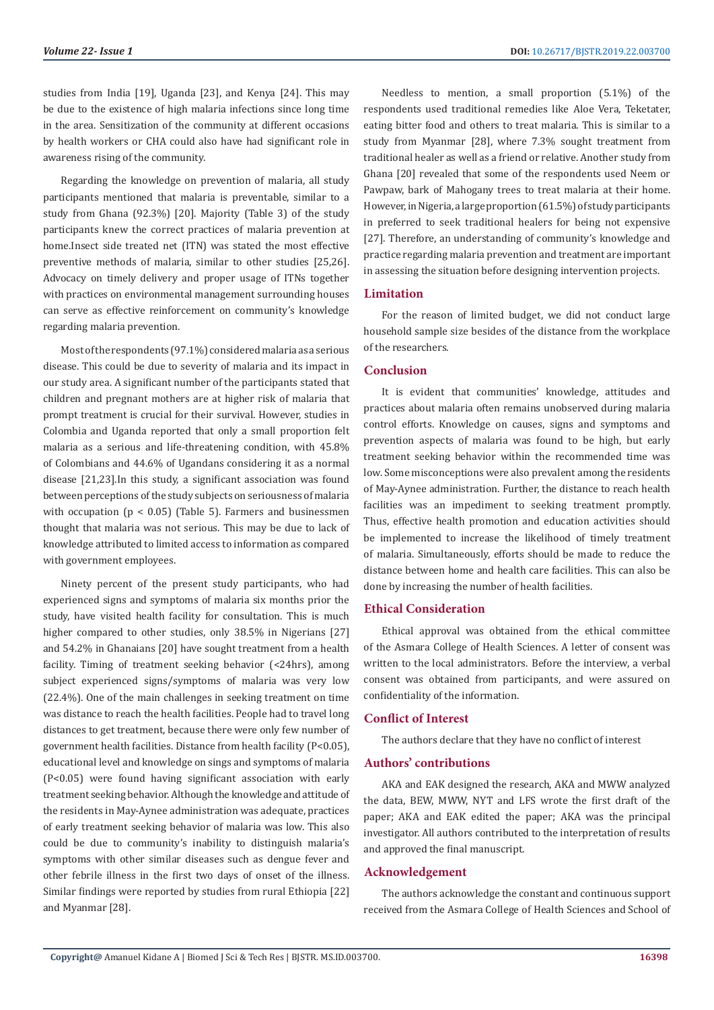studies from India [19], Uganda [23], and Kenya [24]. This may be due to the existence of high malaria infections since long time in the area. Sensitization of the community at different occasions by health workers or CHA could also have had significant role in awareness rising of the community.

Regarding the knowledge on prevention of malaria, all study participants mentioned that malaria is preventable, similar to a study from Ghana (92.3%) [20]. Majority (Table 3) of the study participants knew the correct practices of malaria prevention at home.Insect side treated net (ITN) was stated the most effective preventive methods of malaria, similar to other studies [25,26]. Advocacy on timely delivery and proper usage of ITNs together with practices on environmental management surrounding houses can serve as effective reinforcement on community's knowledge regarding malaria prevention.

Most of the respondents (97.1%) considered malaria as a serious disease. This could be due to severity of malaria and its impact in our study area. A significant number of the participants stated that children and pregnant mothers are at higher risk of malaria that prompt treatment is crucial for their survival. However, studies in Colombia and Uganda reported that only a small proportion felt malaria as a serious and life-threatening condition, with 45.8% of Colombians and 44.6% of Ugandans considering it as a normal disease [21,23].In this study, a significant association was found between perceptions of the study subjects on seriousness of malaria with occupation ( $p < 0.05$ ) (Table 5). Farmers and businessmen thought that malaria was not serious. This may be due to lack of knowledge attributed to limited access to information as compared with government employees.

Ninety percent of the present study participants, who had experienced signs and symptoms of malaria six months prior the study, have visited health facility for consultation. This is much higher compared to other studies, only 38.5% in Nigerians [27] and 54.2% in Ghanaians [20] have sought treatment from a health facility. Timing of treatment seeking behavior (<24hrs), among subject experienced signs/symptoms of malaria was very low (22.4%). One of the main challenges in seeking treatment on time was distance to reach the health facilities. People had to travel long distances to get treatment, because there were only few number of government health facilities. Distance from health facility (P<0.05), educational level and knowledge on sings and symptoms of malaria (P<0.05) were found having significant association with early treatment seeking behavior. Although the knowledge and attitude of the residents in May-Aynee administration was adequate, practices of early treatment seeking behavior of malaria was low. This also could be due to community's inability to distinguish malaria's symptoms with other similar diseases such as dengue fever and other febrile illness in the first two days of onset of the illness. Similar findings were reported by studies from rural Ethiopia [22] and Myanmar [28].

Needless to mention, a small proportion (5.1%) of the respondents used traditional remedies like Aloe Vera, Teketater, eating bitter food and others to treat malaria. This is similar to a study from Myanmar [28], where 7.3% sought treatment from traditional healer as well as a friend or relative. Another study from Ghana [20] revealed that some of the respondents used Neem or Pawpaw, bark of Mahogany trees to treat malaria at their home. However, in Nigeria, a large proportion (61.5%) of study participants in preferred to seek traditional healers for being not expensive [27]. Therefore, an understanding of community's knowledge and practice regarding malaria prevention and treatment are important in assessing the situation before designing intervention projects.

# **Limitation**

For the reason of limited budget, we did not conduct large household sample size besides of the distance from the workplace of the researchers.

# **Conclusion**

It is evident that communities' knowledge, attitudes and practices about malaria often remains unobserved during malaria control efforts. Knowledge on causes, signs and symptoms and prevention aspects of malaria was found to be high, but early treatment seeking behavior within the recommended time was low. Some misconceptions were also prevalent among the residents of May-Aynee administration. Further, the distance to reach health facilities was an impediment to seeking treatment promptly. Thus, effective health promotion and education activities should be implemented to increase the likelihood of timely treatment of malaria. Simultaneously, efforts should be made to reduce the distance between home and health care facilities. This can also be done by increasing the number of health facilities.

# **Ethical Consideration**

Ethical approval was obtained from the ethical committee of the Asmara College of Health Sciences. A letter of consent was written to the local administrators. Before the interview, a verbal consent was obtained from participants, and were assured on confidentiality of the information.

# **Conflict of Interest**

The authors declare that they have no conflict of interest

#### **Authors' contributions**

AKA and EAK designed the research, AKA and MWW analyzed the data, BEW, MWW, NYT and LFS wrote the first draft of the paper; AKA and EAK edited the paper; AKA was the principal investigator. All authors contributed to the interpretation of results and approved the final manuscript.

# **Acknowledgement**

The authors acknowledge the constant and continuous support received from the Asmara College of Health Sciences and School of